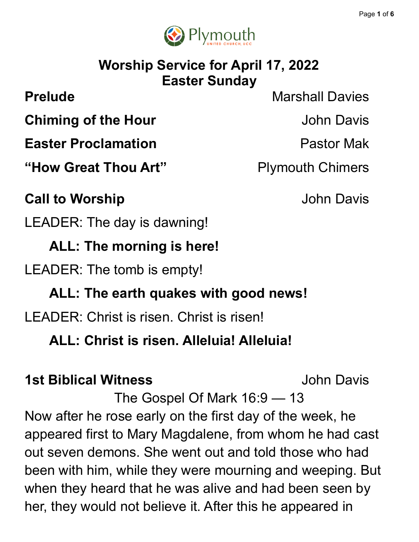

## **Worship Service for April 17, 2022 Easter Sunday**

**Prelude** Marshall Davies

**Chiming of the Hour Chiming of the Hour** 

**Easter Proclamation Pastor Mak** 

**"How Great Thou Art"** Plymouth Chimers

**Call to Worship Call to Worship John Davis** 

LEADER: The day is dawning!

**ALL: The morning is here!**

LEADER: The tomb is empty!

**ALL: The earth quakes with good news!**

LEADER: Christ is risen. Christ is risen!

**ALL: Christ is risen. Alleluia! Alleluia!**

### **1st Biblical Witness** John Davis

The Gospel Of Mark 16:9 — 13

Now after he rose early on the first day of the week, he appeared first to Mary Magdalene, from whom he had cast out seven demons. She went out and told those who had been with him, while they were mourning and weeping. But when they heard that he was alive and had been seen by her, they would not believe it. After this he appeared in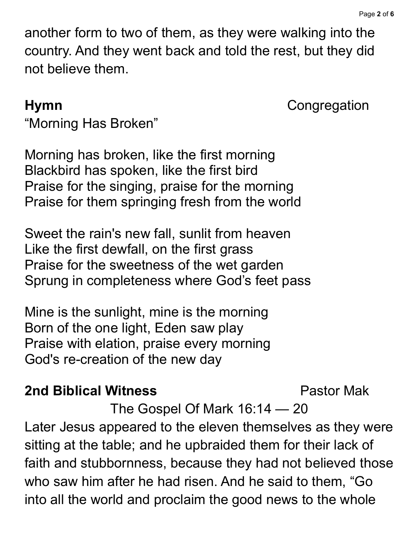another form to two of them, as they were walking into the country. And they went back and told the rest, but they did not believe them.

**Hymn** Congregation

"Morning Has Broken"

Morning has broken, like the first morning Blackbird has spoken, like the first bird Praise for the singing, praise for the morning Praise for them springing fresh from the world

Sweet the rain's new fall, sunlit from heaven Like the first dewfall, on the first grass Praise for the sweetness of the wet garden Sprung in completeness where God's feet pass

Mine is the sunlight, mine is the morning Born of the one light, Eden saw play Praise with elation, praise every morning God's re-creation of the new day

#### **2nd Biblical Witness** Pastor Mak

The Gospel Of Mark 16:14 — 20

Later Jesus appeared to the eleven themselves as they were sitting at the table; and he upbraided them for their lack of faith and stubbornness, because they had not believed those who saw him after he had risen. And he said to them, "Go into all the world and proclaim the good news to the whole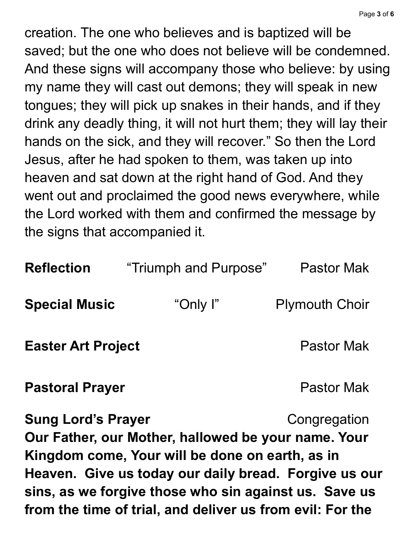creation. The one who believes and is baptized will be saved; but the one who does not believe will be condemned. And these signs will accompany those who believe: by using my name they will cast out demons; they will speak in new tongues; they will pick up snakes in their hands, and if they drink any deadly thing, it will not hurt them; they will lay their hands on the sick, and they will recover." So then the Lord Jesus, after he had spoken to them, was taken up into heaven and sat down at the right hand of God. And they went out and proclaimed the good news everywhere, while the Lord worked with them and confirmed the message by the signs that accompanied it.

| <b>Reflection</b>         | "Triumph and Purpose" | <b>Pastor Mak</b>     |
|---------------------------|-----------------------|-----------------------|
| <b>Special Music</b>      | "Only I"              | <b>Plymouth Choir</b> |
| <b>Easter Art Project</b> |                       | <b>Pastor Mak</b>     |
| <b>Pastoral Prayer</b>    |                       | <b>Pastor Mak</b>     |
|                           |                       |                       |

**Sung Lord's Prayer** Congregation **Our Father, our Mother, hallowed be your name. Your Kingdom come, Your will be done on earth, as in Heaven. Give us today our daily bread. Forgive us our sins, as we forgive those who sin against us. Save us from the time of trial, and deliver us from evil: For the**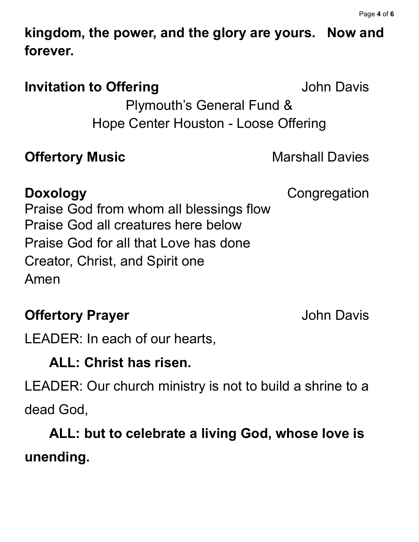# **kingdom, the power, and the glory are yours. Now and forever.**

**Invitation to Offering The Contract Contract Service Contracts** John Davis

Plymouth's General Fund & Hope Center Houston - Loose Offering

## **Offertory Music Marshall Davies**

**Doxology** Congregation Praise God from whom all blessings flow Praise God all creatures here below Praise God for all that Love has done Creator, Christ, and Spirit one Amen

# **Offertory Prayer Community Community Community Community Community Community Community Community Community Community Community Community Community Community Community Community Community Community Community Community Co**

LEADER: In each of our hearts,

# **ALL: Christ has risen.**

LEADER: Our church ministry is not to build a shrine to a dead God,

**ALL: but to celebrate a living God, whose love is unending.**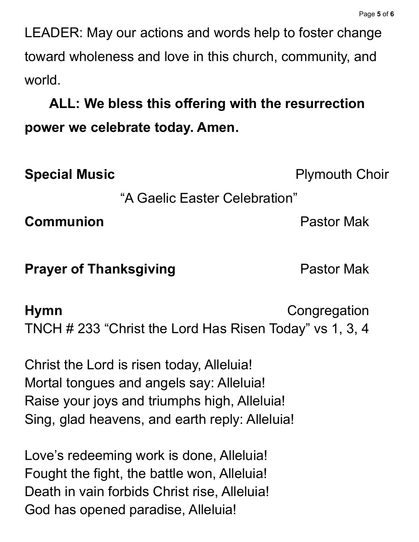LEADER: May our actions and words help to foster change toward wholeness and love in this church, community, and world.

**ALL: We bless this offering with the resurrection power we celebrate today. Amen.**

**Special Music Plymouth Choir** 

"A Gaelic Easter Celebration"

**Communion** Pastor Mak

**Prayer of Thanksgiving Example 20 and Pastor Mak** 

**Hymn** Congregation TNCH # 233 "Christ the Lord Has Risen Today" vs 1, 3, 4

Christ the Lord is risen today, Alleluia! Mortal tongues and angels say: Alleluia! Raise your joys and triumphs high, Alleluia! Sing, glad heavens, and earth reply: Alleluia!

Love's redeeming work is done, Alleluia! Fought the fight, the battle won, Alleluia! Death in vain forbids Christ rise, Alleluia! God has opened paradise, Alleluia!